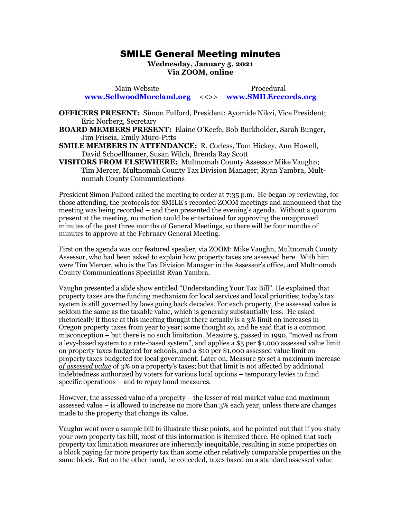## SMILE General Meeting minutes SMILE General Meeting minutes

Wednesday, January 5, 2021 **Wednesday, January 5, 2021**  Via ZOOM, online **Via ZOOM, online**

Main Website Procedural Main Website Procedural [www.SellwoodMoreland.org](http://www.sellwoodmoreland.org/) <<>> [www.SMILErecords.org](http://www.smilerecords.org/)  **www.SellwoodMoreland.org** <<>> **www.SMILErecords.org**

OFFICERS PRESENT: Simon Fulford, President; Ayomide Nikzi, Vice President; **OFFICERS PRESENT:** Simon Fulford, President; Ayomide Nikzi, Vice President; Eric Norberg, Secretary Eric Norberg, Secretary

BOARD MEMBERS PRESENT: Elaine O'Keefe, Bob Burkholder, Sarah Bunger, **BOARD MEMBERS PRESENT:** Elaine O'Keefe, Bob Burkholder, Sarah Bunger, Jim Friscia, Emily Muro-Pitts Jim Friscia, Emily Muro-Pitts

**SMILE MEMBERS IN ATTENDANCE:** R. Corless, Tom Hickey, Ann Howell, David Schoellhamer, Susan Wilch, Brenda Ray Scott David Schoellhamer, Susan Wilch, Brenda Ray Scott

VISITORS FROM ELSEWHERE: Multnomah County Assessor Mike Vaughn; **VISITORS FROM ELSEWHERE:** Multnomah County Assessor Mike Vaughn;<br>Tim Mercer, Multnomah County Tax Division Manager; Ryan Yambra, Multnomah County Communications nomah County Communications

President Simon Fulford called the meeting to order at 7:35 p.m. He began by reviewing, for President Simon Fulford called the meeting to order at 7:35 p.m. He began by reviewing, for those attending, the protocols for SMILE's recorded ZOOM meetings and announced that the those attending, the protocols for SMILE's recorded ZOOM meetings and announced that the meeting was being recorded — and then presented the evening's agenda. Without a quorum present at the meeting, no motion could be entertained for approving the unapproved minutes of the past three months of General Meetings, so there will be four months of minutes to approve at the February General Meeting. meeting was being recorded – and then presented the evening's agenda. Without a quorum<br>present at the meeting, no motion could be entertained for approving the unapproved<br>minutes of the past three months of General Meeting

First on the agenda was our featured speaker, via ZOOM: Mike Vaughn, Multnomah County Assessor, who had been asked to explain how property taxes are assessed here. With him were Tim Mercer, who is the Tax Division Manager in the Assessor's office, and Multnomah were Tim Mercer, who is the Tax Division Manager in the Assessor's office, and Multnomah County Communications Specialist Ryan Yambra. County Communications Specialist Ryan Yambra. minutes to approve at the February General Meeting.<br>First on the agenda was our featured speaker, via ZOOM: Mike Vaughn, Multnomah County<br>Assessor, who had been asked to explain how property taxes are assessed here. With h

Vaughn presented a slide show entitled "Understanding Your Tax Bill". He explained that property taxes are the funding mechanism for local services and local priorities; today's tax Vaughn presented a slide show entitled "Understanding Your Tax Bill". He explained that<br>property taxes are the funding mechanism for local services and local priorities; today's tax<br>system is still governed by laws going b seldom the same as the taxable value, which is generally substantially less. He asked rhetorically if those at this meeting thought there actually is a 3% limit on increases in seldom the same as the taxable value, which is generally substantially less. He asked<br>rhetorically if those at this meeting thought there actually is a 3% limit on increases in<br>Oregon property taxes from year to year; some misconception — but there is no such limitation. Measure 5, passed in 1990, "moved us from misconception – but there is no such limitation. Measure 5, passed in 1990, "moved us from a levy-based system to a rate-based system", and applies a \$5 per \$1,000 assessed value limit on property taxes budgeted for schools, and a \$io per \$1,000 assessed value limit on a levy-based system to a rate-based system", and applies a \$5 per \$1,000 assessed value limit<br>on property taxes budgeted for schools, and a \$10 per \$1,000 assessed value limit on<br>property taxes budgeted for local governmen of assessed value of 3% on a property's taxes; but that limit is not affected by additional indebtedness authorized by voters for various local options — temporary levies to fund specific operations — and to repay bond measures. of assessed value of 3% on a property's taxes; but that limit is not affected by additional<br>indebtedness authorized by voters for various local options – temporary levies to fund<br>specific operations – and to repay bond mea

However, the assessed value of a property — the lesser of real market value and maximum However, the assessed value of a property – the lesser of real market value and maximum assessed value — is allowed to increase no more than 3% each year, unless there are changes assessed value – is allowed to increase no more than 3% each year, unless there are changes made to the property that change its value. made to the property that change its value.

Vaughn went over a sample bill to illustrate these points, and he pointed out that if you study Vaughn went over a sample bill to illustrate these points, and he pointed out that if you study your own property tax bill, most of this information is itemized there. He opined that such property tax limitation measures are inherently inequitable, resulting in some properties on a block paying far more property tax than some other relatively comparable properties on the same block. But on the other hand, he conceded, taxes based on a standard assessed value same block. But on the other hand, he conceded, taxes based on a standard assessed value your own property tax bill, most of this information is itemized there. He opined that such<br>property tax limitation measures are inherently inequitable, resulting in some properties on<br>a block paying far more property tax